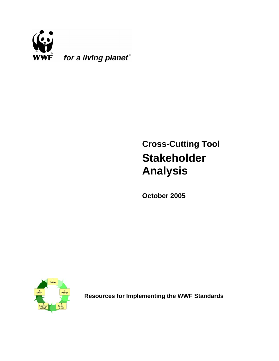

# **Cross-Cutting Tool Stakeholder Analysis**

**October 2005**



**Resources for Implementing the WWF Standards**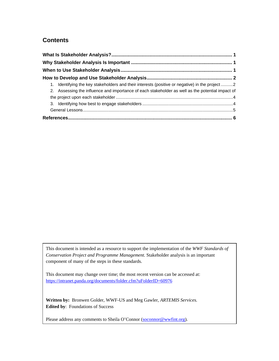# **Contents**

| 1. Identifying the key stakeholders and their interests (positive or negative) in the project 2  |  |
|--------------------------------------------------------------------------------------------------|--|
| 2. Assessing the influence and importance of each stakeholder as well as the potential impact of |  |
|                                                                                                  |  |
|                                                                                                  |  |
|                                                                                                  |  |
|                                                                                                  |  |

This document is intended as a resource to support the implementation of the *WWF Standards of Conservation Project and Programme Management.* Stakeholder analysis is an important component of many of the steps in these standards.

This document may change over time; the most recent version can be accessed at: https://intranet.panda.org/documents/folder.cfm?uFolderID=60976

**Written by:** Bronwen Golder, WWF-US and Meg Gawler*, ARTEMIS Services.* **Edited by**: Foundations of Success

Please address any comments to Sheila O'Connor (soconnor@wwfint.org).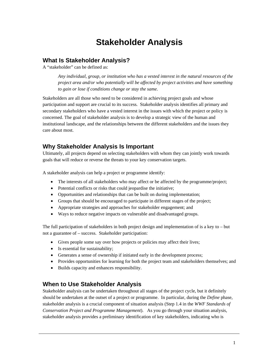# **Stakeholder Analysis**

#### **What Is Stakeholder Analysis?**

A "stakeholder" can be defined as:

*Any individual, group, or institution who has a vested interest in the natural resources of the project area and/or who potentially will be affected by project activities and have something to gain or lose if conditions change or stay the same.* 

Stakeholders are all those who need to be considered in achieving project goals and whose participation and support are crucial to its success. Stakeholder analysis identifies all primary and secondary stakeholders who have a vested interest in the issues with which the project or policy is concerned. The goal of stakeholder analysis is to develop a strategic view of the human and institutional landscape, and the relationships between the different stakeholders and the issues they care about most.

# **Why Stakeholder Analysis Is Important**

Ultimately, all projects depend on selecting stakeholders with whom they can jointly work towards goals that will reduce or reverse the threats to your key conservation targets.

A stakeholder analysis can help a project or programme identify:

- The interests of all stakeholders who may affect or be affected by the programme/project;
- Potential conflicts or risks that could jeopardise the initiative;
- Opportunities and relationships that can be built on during implementation;
- Groups that should be encouraged to participate in different stages of the project;
- Appropriate strategies and approaches for stakeholder engagement; and
- Ways to reduce negative impacts on vulnerable and disadvantaged groups.

The full participation of stakeholders in both project design and implementation of is a key to – but not a guarantee of – success. Stakeholder participation:

- Gives people some say over how projects or policies may affect their lives;
- Is essential for sustainability;
- Generates a sense of ownership if initiated early in the development process;
- Provides opportunities for learning for both the project team and stakeholders themselves; and
- Builds capacity and enhances responsibility.

# **When to Use Stakeholder Analysis**

Stakeholder analysis can be undertaken throughout all stages of the project cycle, but it definitely should be undertaken at the outset of a project or programme. In particular, during the *Define* phase, stakeholder analysis is a crucial component of situation analysis (Step 1.4 in the *WWF Standards of Conservation Project and Programme Management*). As you go through your situation analysis, stakeholder analysis provides a preliminary identification of key stakeholders, indicating who is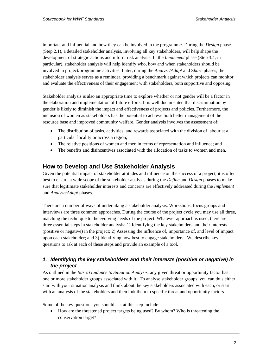important and influential and how they can be involved in the programme. During the *Design* phase (Step 2.1), a detailed stakeholder analysis, involving all key stakeholders, will help shape the development of strategic actions and inform risk analysis. In the *Implement* phase (Step 3.4, in particular), stakeholder analysis will help identify who, how and when stakeholders should be involved in project/programme activities. Later, during the *Analyze/Adapt* and S*hare* phases, the stakeholder analysis serves as a reminder, providing a benchmark against which projects can monitor and evaluate the effectiveness of their engagement with stakeholders, both supportive and opposing.

Stakeholder analysis is also an appropriate time to explore whether or not gender will be a factor in the elaboration and implementation of future efforts. It is well documented that discrimination by gender is likely to diminish the impact and effectiveness of projects and policies. Furthermore, the inclusion of women as stakeholders has the potential to achieve both better management of the resource base and improved community welfare. Gender analysis involves the assessment of:

- The distribution of tasks, activities, and rewards associated with the division of labour at a particular locality or across a region;
- The relative positions of women and men in terms of representation and influence; and
- The benefits and disincentives associated with the allocation of tasks to women and men.

# **How to Develop and Use Stakeholder Analysis**

Given the potential impact of stakeholder attitudes and influence on the success of a project, it is often best to ensure a wide scope of the stakeholder analysis during the *Define* and *Design* phases to make sure that legitimate stakeholder interests and concerns are effectively addressed during the *Implement* and *Analyze/Adapt* phases.

There are a number of ways of undertaking a stakeholder analysis. Workshops, focus groups and interviews are three common approaches. During the course of the project cycle you may use all three, matching the technique to the evolving needs of the project. Whatever approach is used, there are three essential steps in stakeholder analysis: 1) Identifying the key stakeholders and their interests (positive or negative) in the project; 2) Assessing the influence of, importance of, and level of impact upon each stakeholder; and 3) Identifying how best to engage stakeholders. We describe key questions to ask at each of these steps and provide an example of a tool.

#### *1. Identifying the key stakeholders and their interests (positive or negative) in the project*

As outlined in the *Basic Guidance to Situation Analysis,* any given threat or opportunity factor has one or more stakeholder groups associated with it. To analyse stakeholder groups, you can thus either start with your situation analysis and think about the key stakeholders associated with each, or start with an analysis of the stakeholders and then link them to specific threat and opportunity factors.

Some of the key questions you should ask at this step include:

• How are the threatened project targets being used? By whom? Who is threatening the conservation target?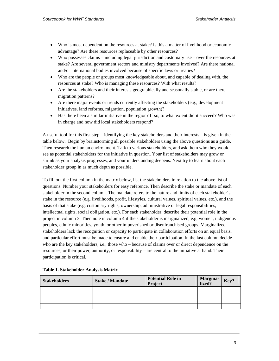- Who is most dependent on the resources at stake? Is this a matter of livelihood or economic advantage? Are these resources replaceable by other resources?
- Who possesses claims including legal jurisdiction and customary use over the resources at stake? Are several government sectors and ministry departments involved? Are there national and/or international bodies involved because of specific laws or treaties?
- Who are the people or groups most knowledgeable about, and capable of dealing with, the resources at stake? Who is managing these resources? With what results?
- Are the stakeholders and their interests geographically and seasonally stable, or are there migration patterns?
- Are there major events or trends currently affecting the stakeholders (e.g., development initiatives, land reforms, migration, population growth)?
- Has there been a similar initiative in the region? If so, to what extent did it succeed? Who was in charge and how did local stakeholders respond?

A useful tool for this first step – identifying the key stakeholders and their interests – is given in the table below. Begin by brainstorming all possible stakeholders using the above questions as a guide. Then research the human environment. Talk to various stakeholders, and ask them who they would see as potential stakeholders for the initiative in question. Your list of stakeholders may grow or shrink as your analysis progresses, and your understanding deepens. Next try to learn about each stakeholder group in as much depth as possible.

To fill out the first column in the matrix below, list the stakeholders in relation to the above list of questions. Number your stakeholders for easy reference. Then describe the stake or mandate of each stakeholder in the second column. The mandate refers to the nature and limits of each stakeholder's stake in the resource (e.g. livelihoods, profit, lifestyles, cultural values, spiritual values, etc.), and the basis of that stake (e.g. customary rights, ownership, administrative or legal responsibilities, intellectual rights, social obligation, etc.). For each stakeholder, describe their potential role in the project in column 3. Then note in column 4 if the stakeholder is marginalized, e.g. women, indigenous peoples, ethnic minorities, youth, or other impoverished or disenfranchised groups. Marginalized stakeholders lack the recognition or capacity to participate in collaboration efforts on an equal basis, and particular effort must be made to ensure and enable their participation. In the last column decide who are the key stakeholders, i.e., those who – because of claims over or direct dependence on the resources, or their power, authority, or responsibility – are central to the initiative at hand. Their participation is critical.

| <b>Stakeholders</b> | <b>Stake / Mandate</b> | <b>Potential Role in</b><br>Project | Margina-<br>lized? | Key? |
|---------------------|------------------------|-------------------------------------|--------------------|------|
|                     |                        |                                     |                    |      |
|                     |                        |                                     |                    |      |
|                     |                        |                                     |                    |      |
|                     |                        |                                     |                    |      |

|  | Table 1. Stakeholder Analysis Matrix |  |  |
|--|--------------------------------------|--|--|
|  |                                      |  |  |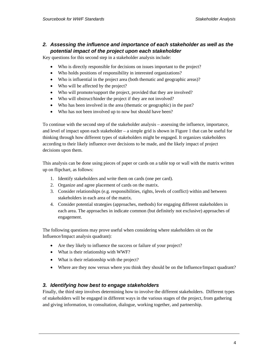#### *2. Assessing the influence and importance of each stakeholder as well as the potential impact of the project upon each stakeholder*

Key questions for this second step in a stakeholder analysis include:

- Who is directly responsible for decisions on issues important to the project?
- Who holds positions of responsibility in interested organizations?
- Who is influential in the project area (both thematic and geographic areas)?
- Who will be affected by the project?
- Who will promote/support the project, provided that they are involved?
- Who will obstruct/hinder the project if they are not involved?
- Who has been involved in the area (thematic or geographic) in the past?
- Who has not been involved up to now but should have been?

To continue with the second step of the stakeholder analysis – assessing the influence, importance, and level of impact upon each stakeholder – a simple grid is shown in Figure 1 that can be useful for thinking through how different types of stakeholders might be engaged. It organizes stakeholders according to their likely influence over decisions to be made, and the likely impact of project decisions upon them.

This analysis can be done using pieces of paper or cards on a table top or wall with the matrix written up on flipchart, as follows:

- 1. Identify stakeholders and write them on cards (one per card).
- 2. Organize and agree placement of cards on the matrix.
- 3. Consider relationships (e.g. responsibilities, rights, levels of conflict) within and between stakeholders in each area of the matrix.
- 4. Consider potential strategies (approaches, methods) for engaging different stakeholders in each area. The approaches in indicate common (but definitely not exclusive) approaches of engagement.

The following questions may prove useful when considering where stakeholders sit on the Influence/Impact analysis quadrant):

- Are they likely to influence the success or failure of your project?
- What is their relationship with WWF?
- What is their relationship with the project?
- Where are they now versus where you think they should be on the Influence/Impact quadrant?

#### *3. Identifying how best to engage stakeholders*

Finally, the third step involves determining how to involve the different stakeholders. Different types of stakeholders will be engaged in different ways in the various stages of the project, from gathering and giving information, to consultation, dialogue, working together, and partnership.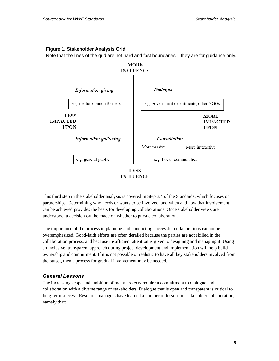

This third step in the stakeholder analysis is covered in Step 3.4 of the Standards, which focuses on partnerships. Determining who needs or wants to be involved, and when and how that involvement can be achieved provides the basis for developing collaborations. Once stakeholder views are understood, a decision can be made on whether to pursue collaboration.

The importance of the process in planning and conducting successful collaborations cannot be overemphasized. Good-faith efforts are often derailed because the parties are not skilled in the collaboration process, and because insufficient attention is given to designing and managing it. Using an inclusive, transparent approach during project development and implementation will help build ownership and commitment. If it is not possible or realistic to have all key stakeholders involved from the outset, then a process for gradual involvement may be needed.

#### *General Lessons*

The increasing scope and ambition of many projects require a commitment to dialogue and collaboration with a diverse range of stakeholders. Dialogue that is open and transparent is critical to long-term success. Resource managers have learned a number of lessons in stakeholder collaboration, namely that: